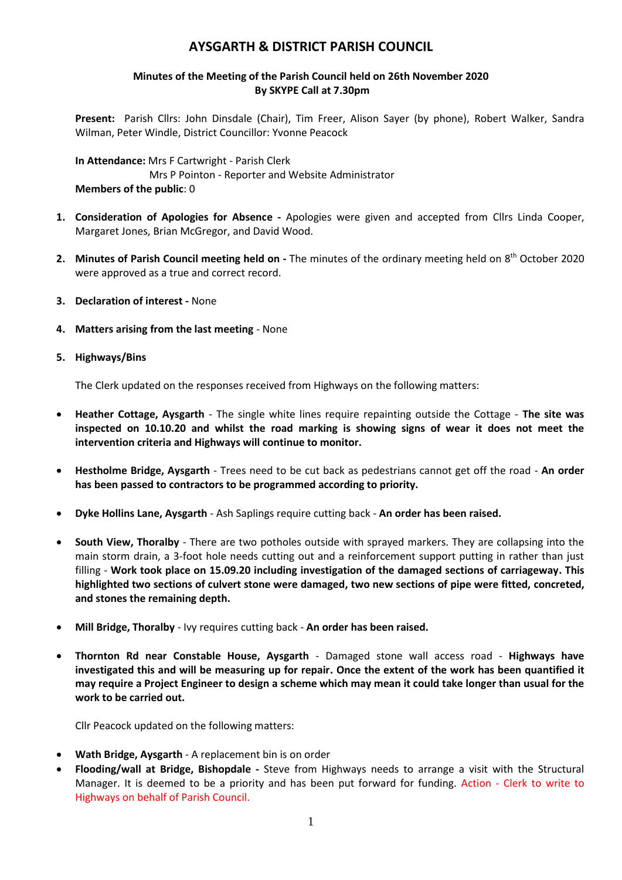# **AYSGARTH & DISTRICT PARISH COUNCIL**

# **Minutes of the Meeting of the Parish Council held on 26th November 2020 By SKYPE Call at 7.30pm**

**Present:** Parish Cllrs: John Dinsdale (Chair), Tim Freer, Alison Sayer (by phone), Robert Walker, Sandra Wilman, Peter Windle, District Councillor: Yvonne Peacock

**In Attendance:** Mrs F Cartwright - Parish Clerk Mrs P Pointon - Reporter and Website Administrator **Members of the public**: 0

- **1. Consideration of Apologies for Absence -** Apologies were given and accepted from Cllrs Linda Cooper, Margaret Jones, Brian McGregor, and David Wood.
- 2. Minutes of Parish Council meeting held on The minutes of the ordinary meeting held on 8<sup>th</sup> October 2020 were approved as a true and correct record.
- **3. Declaration of interest -** None
- **4. Matters arising from the last meeting** None
- **5. Highways/Bins**

The Clerk updated on the responses received from Highways on the following matters:

- **Heather Cottage, Aysgarth** The single white lines require repainting outside the Cottage **The site was inspected on 10.10.20 and whilst the road marking is showing signs of wear it does not meet the intervention criteria and Highways will continue to monitor.**
- **Hestholme Bridge, Aysgarth**  Trees need to be cut back as pedestrians cannot get off the road **An order has been passed to contractors to be programmed according to priority.**
- **Dyke Hollins Lane, Aysgarth**  Ash Saplings require cutting back **An order has been raised.**
- **South View, Thoralby**  There are two potholes outside with sprayed markers. They are collapsing into the main storm drain, a 3-foot hole needs cutting out and a reinforcement support putting in rather than just filling - **Work took place on 15.09.20 including investigation of the damaged sections of carriageway. This highlighted two sections of culvert stone were damaged, two new sections of pipe were fitted, concreted, and stones the remaining depth.**
- **Mill Bridge, Thoralby**  Ivy requires cutting back **An order has been raised.**
- **Thornton Rd near Constable House, Aysgarth** Damaged stone wall access road **Highways have investigated this and will be measuring up for repair. Once the extent of the work has been quantified it may require a Project Engineer to design a scheme which may mean it could take longer than usual for the work to be carried out.**

Cllr Peacock updated on the following matters:

- **Wath Bridge, Aysgarth** A replacement bin is on order
- **Flooding/wall at Bridge, Bishopdale -** Steve from Highways needs to arrange a visit with the Structural Manager. It is deemed to be a priority and has been put forward for funding. Action - Clerk to write to Highways on behalf of Parish Council.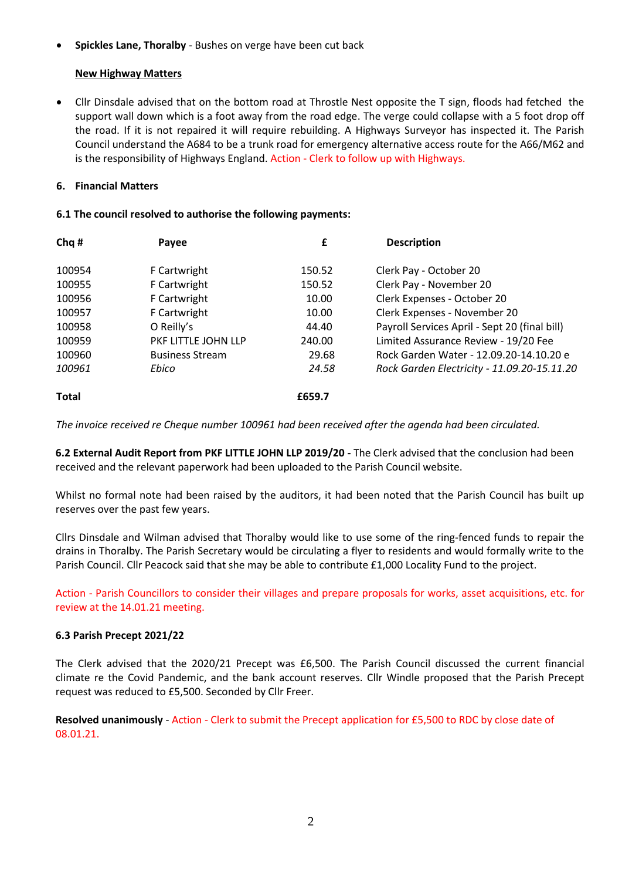**Spickles Lane, Thoralby** - Bushes on verge have been cut back

#### **New Highway Matters**

 Cllr Dinsdale advised that on the bottom road at Throstle Nest opposite the T sign, floods had fetched the support wall down which is a foot away from the road edge. The verge could collapse with a 5 foot drop off the road. If it is not repaired it will require rebuilding. A Highways Surveyor has inspected it. The Parish Council understand the A684 to be a trunk road for emergency alternative access route for the A66/M62 and is the responsibility of Highways England. Action - Clerk to follow up with Highways.

### **6. Financial Matters**

# **6.1 The council resolved to authorise the following payments:**

| Chq#   | Payee                  | £      | <b>Description</b>                            |
|--------|------------------------|--------|-----------------------------------------------|
| 100954 | F Cartwright           | 150.52 | Clerk Pay - October 20                        |
| 100955 | F Cartwright           | 150.52 | Clerk Pay - November 20                       |
| 100956 | F Cartwright           | 10.00  | Clerk Expenses - October 20                   |
| 100957 | F Cartwright           | 10.00  | Clerk Expenses - November 20                  |
| 100958 | O Reilly's             | 44.40  | Payroll Services April - Sept 20 (final bill) |
| 100959 | PKF LITTLE JOHN LLP    | 240.00 | Limited Assurance Review - 19/20 Fee          |
| 100960 | <b>Business Stream</b> | 29.68  | Rock Garden Water - 12.09.20-14.10.20 e       |
| 100961 | Ebico                  | 24.58  | Rock Garden Electricity - 11.09.20-15.11.20   |
| Total  |                        | £659.7 |                                               |

 *The invoice received re Cheque number 100961 had been received after the agenda had been circulated.*

**6.2 External Audit Report from PKF LITTLE JOHN LLP 2019/20 -** The Clerk advised that the conclusion had been received and the relevant paperwork had been uploaded to the Parish Council website.

Whilst no formal note had been raised by the auditors, it had been noted that the Parish Council has built up reserves over the past few years.

Cllrs Dinsdale and Wilman advised that Thoralby would like to use some of the ring-fenced funds to repair the drains in Thoralby. The Parish Secretary would be circulating a flyer to residents and would formally write to the Parish Council. Cllr Peacock said that she may be able to contribute £1,000 Locality Fund to the project.

Action - Parish Councillors to consider their villages and prepare proposals for works, asset acquisitions, etc. for review at the 14.01.21 meeting.

#### **6.3 Parish Precept 2021/22**

The Clerk advised that the 2020/21 Precept was £6,500. The Parish Council discussed the current financial climate re the Covid Pandemic, and the bank account reserves. Cllr Windle proposed that the Parish Precept request was reduced to £5,500. Seconded by Cllr Freer.

**Resolved unanimously** - Action - Clerk to submit the Precept application for £5,500 to RDC by close date of 08.01.21.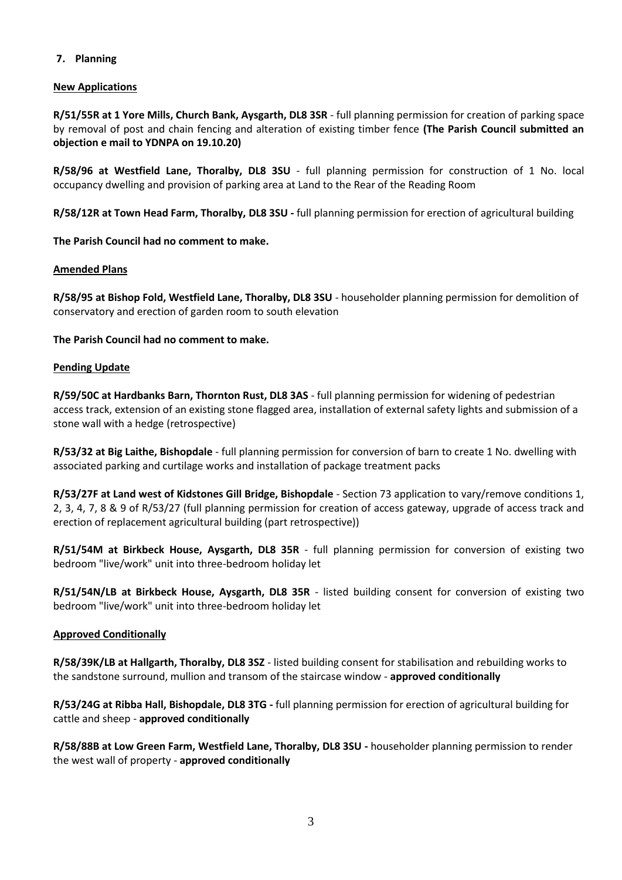# **7. Planning**

### **New Applications**

**R/51/55R at 1 Yore Mills, Church Bank, Aysgarth, DL8 3SR** - full planning permission for creation of parking space by removal of post and chain fencing and alteration of existing timber fence **(The Parish Council submitted an objection e mail to YDNPA on 19.10.20)**

**R/58/96 at Westfield Lane, Thoralby, DL8 3SU** - full planning permission for construction of 1 No. local occupancy dwelling and provision of parking area at Land to the Rear of the Reading Room

**R/58/12R at Town Head Farm, Thoralby, DL8 3SU -** full planning permission for erection of agricultural building

**The Parish Council had no comment to make.**

#### **Amended Plans**

**R/58/95 at Bishop Fold, Westfield Lane, Thoralby, DL8 3SU** - householder planning permission for demolition of conservatory and erection of garden room to south elevation

**The Parish Council had no comment to make.**

# **Pending Update**

**R/59/50C at Hardbanks Barn, Thornton Rust, DL8 3AS** - full planning permission for widening of pedestrian access track, extension of an existing stone flagged area, installation of external safety lights and submission of a stone wall with a hedge (retrospective)

**R/53/32 at Big Laithe, Bishopdale** - full planning permission for conversion of barn to create 1 No. dwelling with associated parking and curtilage works and installation of package treatment packs

**R/53/27F at Land west of Kidstones Gill Bridge, Bishopdale** - Section 73 application to vary/remove conditions 1, 2, 3, 4, 7, 8 & 9 of R/53/27 (full planning permission for creation of access gateway, upgrade of access track and erection of replacement agricultural building (part retrospective))

**R/51/54M at Birkbeck House, Aysgarth, DL8 35R** - full planning permission for conversion of existing two bedroom "live/work" unit into three-bedroom holiday let

**R/51/54N/LB at Birkbeck House, Aysgarth, DL8 35R** - listed building consent for conversion of existing two bedroom "live/work" unit into three-bedroom holiday let

#### **Approved Conditionally**

**R/58/39K/LB at Hallgarth, Thoralby, DL8 3SZ** - listed building consent for stabilisation and rebuilding works to the sandstone surround, mullion and transom of the staircase window - **approved conditionally** 

**R/53/24G at Ribba Hall, Bishopdale, DL8 3TG -** full planning permission for erection of agricultural building for cattle and sheep - **approved conditionally** 

**R/58/88B at Low Green Farm, Westfield Lane, Thoralby, DL8 3SU -** householder planning permission to render the west wall of property - **approved conditionally**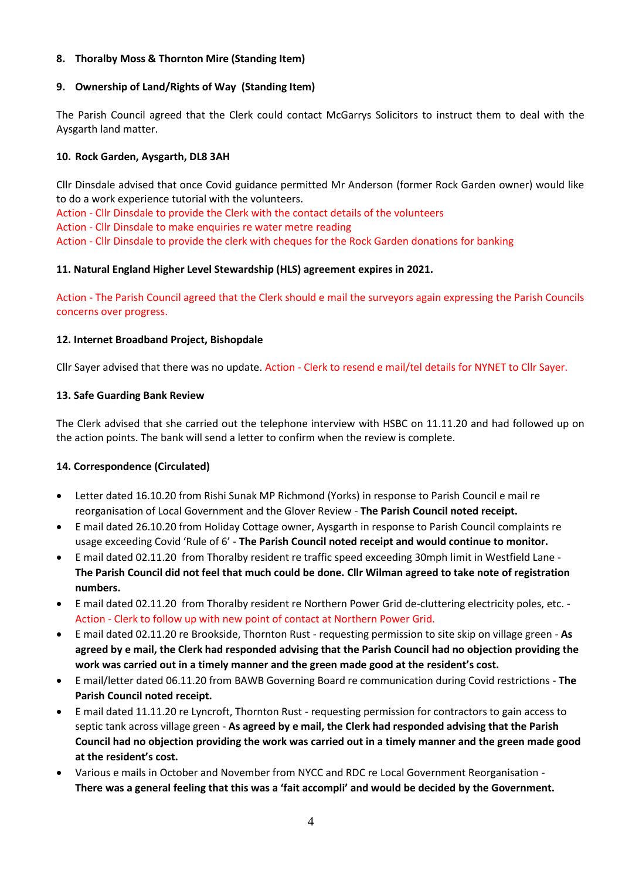# **8. Thoralby Moss & Thornton Mire (Standing Item)**

# **9. Ownership of Land/Rights of Way (Standing Item)**

The Parish Council agreed that the Clerk could contact McGarrys Solicitors to instruct them to deal with the Aysgarth land matter.

# **10. Rock Garden, Aysgarth, DL8 3AH**

Cllr Dinsdale advised that once Covid guidance permitted Mr Anderson (former Rock Garden owner) would like to do a work experience tutorial with the volunteers.

Action - Cllr Dinsdale to provide the Clerk with the contact details of the volunteers Action - Cllr Dinsdale to make enquiries re water metre reading Action - Cllr Dinsdale to provide the clerk with cheques for the Rock Garden donations for banking

# **11. Natural England Higher Level Stewardship (HLS) agreement expires in 2021.**

Action - The Parish Council agreed that the Clerk should e mail the surveyors again expressing the Parish Councils concerns over progress.

# **12. Internet Broadband Project, Bishopdale**

Cllr Sayer advised that there was no update. Action - Clerk to resend e mail/tel details for NYNET to Cllr Sayer.

# **13. Safe Guarding Bank Review**

The Clerk advised that she carried out the telephone interview with HSBC on 11.11.20 and had followed up on the action points. The bank will send a letter to confirm when the review is complete.

#### **14. Correspondence (Circulated)**

- Letter dated 16.10.20 from Rishi Sunak MP Richmond (Yorks) in response to Parish Council e mail re reorganisation of Local Government and the Glover Review - **The Parish Council noted receipt.**
- E mail dated 26.10.20 from Holiday Cottage owner, Aysgarth in response to Parish Council complaints re usage exceeding Covid 'Rule of 6' - **The Parish Council noted receipt and would continue to monitor.**
- E mail dated 02.11.20 from Thoralby resident re traffic speed exceeding 30mph limit in Westfield Lane **The Parish Council did not feel that much could be done. Cllr Wilman agreed to take note of registration numbers.**
- E mail dated 02.11.20 from Thoralby resident re Northern Power Grid de-cluttering electricity poles, etc. Action - Clerk to follow up with new point of contact at Northern Power Grid.
- E mail dated 02.11.20 re Brookside, Thornton Rust requesting permission to site skip on village green **As agreed by e mail, the Clerk had responded advising that the Parish Council had no objection providing the work was carried out in a timely manner and the green made good at the resident's cost.**
- E mail/letter dated 06.11.20 from BAWB Governing Board re communication during Covid restrictions **The Parish Council noted receipt.**
- E mail dated 11.11.20 re Lyncroft, Thornton Rust requesting permission for contractors to gain access to septic tank across village green - **As agreed by e mail, the Clerk had responded advising that the Parish Council had no objection providing the work was carried out in a timely manner and the green made good at the resident's cost.**
- Various e mails in October and November from NYCC and RDC re Local Government Reorganisation **There was a general feeling that this was a 'fait accompli' and would be decided by the Government.**